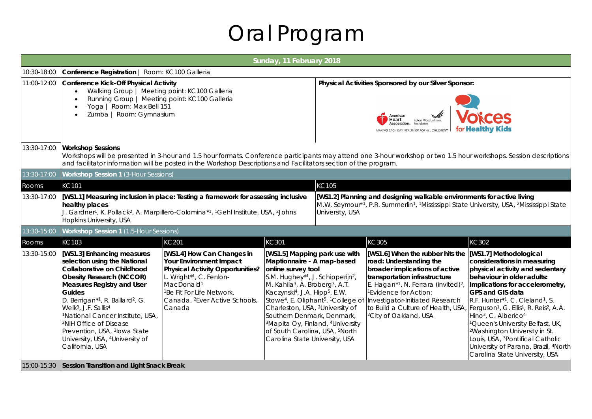## Oral Program

|             | Sunday, 11 February 2018                                                                                                                                                                                                                                                                                                                                                                                                                                                                   |                                                                                                                                                                                                                                                |                                                                                                                                                                                                                                                                                                                                                                                                                                                                                                                                                            |                                                                                                                                                                                                                           |                                                                                                                                                                                                                                                                                                                                                   |                                                                                                                                                                                                                                                                                                                                                                                                                                                                                                                                                                                          |
|-------------|--------------------------------------------------------------------------------------------------------------------------------------------------------------------------------------------------------------------------------------------------------------------------------------------------------------------------------------------------------------------------------------------------------------------------------------------------------------------------------------------|------------------------------------------------------------------------------------------------------------------------------------------------------------------------------------------------------------------------------------------------|------------------------------------------------------------------------------------------------------------------------------------------------------------------------------------------------------------------------------------------------------------------------------------------------------------------------------------------------------------------------------------------------------------------------------------------------------------------------------------------------------------------------------------------------------------|---------------------------------------------------------------------------------------------------------------------------------------------------------------------------------------------------------------------------|---------------------------------------------------------------------------------------------------------------------------------------------------------------------------------------------------------------------------------------------------------------------------------------------------------------------------------------------------|------------------------------------------------------------------------------------------------------------------------------------------------------------------------------------------------------------------------------------------------------------------------------------------------------------------------------------------------------------------------------------------------------------------------------------------------------------------------------------------------------------------------------------------------------------------------------------------|
| 10:30-18:00 | Conference Registration   Room: KC100 Galleria                                                                                                                                                                                                                                                                                                                                                                                                                                             |                                                                                                                                                                                                                                                |                                                                                                                                                                                                                                                                                                                                                                                                                                                                                                                                                            |                                                                                                                                                                                                                           |                                                                                                                                                                                                                                                                                                                                                   |                                                                                                                                                                                                                                                                                                                                                                                                                                                                                                                                                                                          |
| 11:00-12:00 | Conference Kick-Off Physical Activity<br>Walking Group   Meeting point: KC100 Galleria<br>Running Group   Meeting point: KC100 Galleria<br>Yoga   Room: Max Bell 151<br>Zumba   Room: Gymnasium                                                                                                                                                                                                                                                                                            |                                                                                                                                                                                                                                                |                                                                                                                                                                                                                                                                                                                                                                                                                                                                                                                                                            |                                                                                                                                                                                                                           | Physical Activities Sponsored by our Silver Sponsor:<br>American<br>Heart<br>Robert Wood Johnso<br>Association<br>MAKING EACH DAY HEALTHIER FOR ALL CHILDREN™                                                                                                                                                                                     | ces<br>for <b>Healthy Kids</b>                                                                                                                                                                                                                                                                                                                                                                                                                                                                                                                                                           |
| 13:30-17:00 | <b>Workshop Sessions</b>                                                                                                                                                                                                                                                                                                                                                                                                                                                                   | and facilitator information will be posted in the Workshop Descriptions and Facilitators section of the program.                                                                                                                               |                                                                                                                                                                                                                                                                                                                                                                                                                                                                                                                                                            |                                                                                                                                                                                                                           |                                                                                                                                                                                                                                                                                                                                                   | Workshops will be presented in 3-hour and 1.5 hour formats. Conference participants may attend one 3-hour workshop or two 1.5 hour workshops. Session descriptions                                                                                                                                                                                                                                                                                                                                                                                                                       |
| 13:30-17:00 | <b>Workshop Session 1 (3-Hour Sessions)</b>                                                                                                                                                                                                                                                                                                                                                                                                                                                |                                                                                                                                                                                                                                                |                                                                                                                                                                                                                                                                                                                                                                                                                                                                                                                                                            |                                                                                                                                                                                                                           |                                                                                                                                                                                                                                                                                                                                                   |                                                                                                                                                                                                                                                                                                                                                                                                                                                                                                                                                                                          |
| Rooms       | KC101                                                                                                                                                                                                                                                                                                                                                                                                                                                                                      |                                                                                                                                                                                                                                                |                                                                                                                                                                                                                                                                                                                                                                                                                                                                                                                                                            | KC105                                                                                                                                                                                                                     |                                                                                                                                                                                                                                                                                                                                                   |                                                                                                                                                                                                                                                                                                                                                                                                                                                                                                                                                                                          |
| 13:30-17:00 | [WS1.1] Measuring inclusion in place: Testing a framework for assessing inclusive<br>healthy places<br>J. Gardner <sup>1</sup> , K. Pollack <sup>2</sup> , A. Marpillero-Colomina <sup>*1</sup> , <sup>1</sup> Gehl Institute, USA, <sup>2</sup> Johns<br>Hopkins University, USA                                                                                                                                                                                                          |                                                                                                                                                                                                                                                |                                                                                                                                                                                                                                                                                                                                                                                                                                                                                                                                                            | [WS1.2] Planning and designing walkable environments for active living<br>M.W. Seymour*1, P.R. Summerlin <sup>1</sup> , <sup>1</sup> Mississippi State University, USA, <sup>2</sup> Mississippi State<br>University, USA |                                                                                                                                                                                                                                                                                                                                                   |                                                                                                                                                                                                                                                                                                                                                                                                                                                                                                                                                                                          |
| 13:30-15:00 | <b>Workshop Session 1</b> (1.5-Hour Sessions)                                                                                                                                                                                                                                                                                                                                                                                                                                              |                                                                                                                                                                                                                                                |                                                                                                                                                                                                                                                                                                                                                                                                                                                                                                                                                            |                                                                                                                                                                                                                           |                                                                                                                                                                                                                                                                                                                                                   |                                                                                                                                                                                                                                                                                                                                                                                                                                                                                                                                                                                          |
| Rooms       | KC103                                                                                                                                                                                                                                                                                                                                                                                                                                                                                      | <b>KC201</b>                                                                                                                                                                                                                                   | <b>KC301</b>                                                                                                                                                                                                                                                                                                                                                                                                                                                                                                                                               |                                                                                                                                                                                                                           | KC305                                                                                                                                                                                                                                                                                                                                             | KC302                                                                                                                                                                                                                                                                                                                                                                                                                                                                                                                                                                                    |
| 13:30-15:00 | [WS1.3] Enhancing measures<br>selection using the National<br>Collaborative on Childhood<br><b>Obesity Research (NCCOR)</b><br><b>Measures Registry and User</b><br>Guides<br>D. Berrigan <sup>*1</sup> , R. Ballard <sup>2</sup> , G.<br>Welk <sup>3</sup> , J.F. Sallis <sup>4</sup><br><sup>1</sup> National Cancer Institute, USA,<br><sup>2</sup> NIH Office of Disease<br>Prevention, USA, <sup>3</sup> lowa State<br>University, USA, <sup>4</sup> University of<br>California, USA | [WS1.4] How Can Changes in<br>Your Environment Impact<br>Physical Activity Opportunities?<br>L. Wright*1, C. Fenlon-<br>MacDonald <sup>1</sup><br><sup>1</sup> Be Fit For Life Network,<br>Canada, <sup>2</sup> Ever Active Schools,<br>Canada | [WS1.5] Mapping park use with<br>Maptionnaire - A map-based<br>online survey tool<br>S.M. Hughey*1, J. Schipperijn <sup>2</sup> ,<br>M. Kahila <sup>3</sup> , A. Broberg <sup>3</sup> , A.T.<br>Kaczynski <sup>4</sup> , J.A. Hipp <sup>5</sup> , E.W.<br>Stowe <sup>4</sup> , E. Oliphant <sup>5</sup> , <sup>1</sup> College of<br>Charleston, USA, <sup>2</sup> University of<br>Southern Denmark, Denmark,<br><sup>3</sup> Mapita Oy, Finland, <sup>4</sup> University<br>of South Carolina, USA, <sup>5</sup> North<br>Carolina State University, USA |                                                                                                                                                                                                                           | [WS1.6] When the rubber hits the<br>road: Understanding the<br>broader implications of active<br>transportation infrastructure<br>E. Hagan <sup>*1</sup> , N. Ferrara (invited) <sup>2</sup> ,<br><sup>1</sup> Evidence for Action:<br>Investigator-Initiated Research<br>to Build a Culture of Health, USA,<br><sup>2</sup> City of Oakland, USA | [WS1.7] Methodological<br>considerations in measuring<br>physical activity and sedentary<br>behaviour in older adults:<br>Implications for accelerometry,<br><b>GPS and GIS data</b><br>R.F. Hunter*1, C. Cleland <sup>1</sup> , S.<br>Ferguson <sup>1</sup> , G. Ellis <sup>1</sup> , R. Reis <sup>2</sup> , A.A.<br>Hino <sup>3</sup> , C. Alberico <sup>4</sup><br>Queen's University Belfast, UK,<br><sup>2</sup> Washington University in St.<br>Louis, USA, <sup>3</sup> Pontifical Catholic<br>University of Parana, Brazil, <sup>4</sup> North<br>Carolina State University, USA |
|             | 15:00-15:30 Session Transition and Light Snack Break                                                                                                                                                                                                                                                                                                                                                                                                                                       |                                                                                                                                                                                                                                                |                                                                                                                                                                                                                                                                                                                                                                                                                                                                                                                                                            |                                                                                                                                                                                                                           |                                                                                                                                                                                                                                                                                                                                                   |                                                                                                                                                                                                                                                                                                                                                                                                                                                                                                                                                                                          |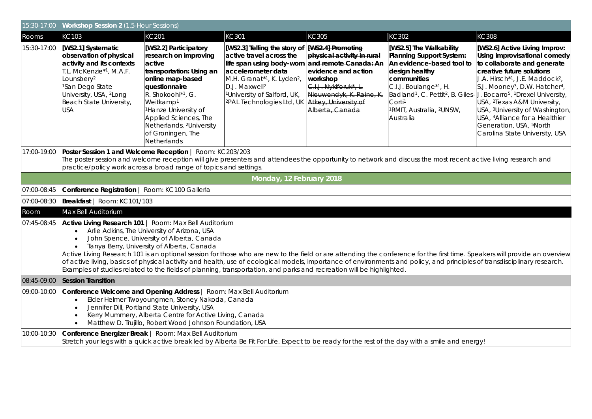| 15:30-17:00 | Workshop Session 2 (1.5-Hour Sessions)                                                                                                                                                                                                                                                                                                                                                                                                                                                                                                                                                                                                                                                                                      |                                                                                                                                                                                                                                                                                                                               |                                                                                                                                                                                                                                                                        |                                                                                                                                                                                                             |                                                                                                                                                                                                                                          |                                                                                                                                                                                                                                                                                                                                                                                                                                                                                                                                                                                       |
|-------------|-----------------------------------------------------------------------------------------------------------------------------------------------------------------------------------------------------------------------------------------------------------------------------------------------------------------------------------------------------------------------------------------------------------------------------------------------------------------------------------------------------------------------------------------------------------------------------------------------------------------------------------------------------------------------------------------------------------------------------|-------------------------------------------------------------------------------------------------------------------------------------------------------------------------------------------------------------------------------------------------------------------------------------------------------------------------------|------------------------------------------------------------------------------------------------------------------------------------------------------------------------------------------------------------------------------------------------------------------------|-------------------------------------------------------------------------------------------------------------------------------------------------------------------------------------------------------------|------------------------------------------------------------------------------------------------------------------------------------------------------------------------------------------------------------------------------------------|---------------------------------------------------------------------------------------------------------------------------------------------------------------------------------------------------------------------------------------------------------------------------------------------------------------------------------------------------------------------------------------------------------------------------------------------------------------------------------------------------------------------------------------------------------------------------------------|
| Rooms       | KC103                                                                                                                                                                                                                                                                                                                                                                                                                                                                                                                                                                                                                                                                                                                       | KC201                                                                                                                                                                                                                                                                                                                         | KC301                                                                                                                                                                                                                                                                  | KC305                                                                                                                                                                                                       | KC302                                                                                                                                                                                                                                    | KC308                                                                                                                                                                                                                                                                                                                                                                                                                                                                                                                                                                                 |
| 15:30-17:00 | [WS2.1] Systematic<br>observation of physical<br>activity and its contexts<br>T.L. McKenzie <sup>*1</sup> , M.A.F.<br>Lounsbery <sup>2</sup><br><sup>1</sup> San Dego State<br>University, USA, <sup>2</sup> Long<br>Beach State University,<br><b>USA</b>                                                                                                                                                                                                                                                                                                                                                                                                                                                                  | [WS2.2] Participatory<br>research on improving<br>active<br>transportation: Using an<br>online map-based<br>questionnaire<br>R. Shokoohi <sup>*1</sup> , G.<br>Weitkamp <sup>1</sup><br><sup>1</sup> Hanze University of<br>Applied Sciences, The<br>Netherlands, <sup>2</sup> University<br>of Groningen, The<br>Netherlands | [WS2.3] Telling the story of<br>active travel across the<br>life span using body-worn<br>accelerometer data<br>M.H. Granat*1, K. Lyden <sup>2</sup> ,<br>D.J. Maxwell <sup>2</sup><br><sup>1</sup> University of Salford, UK,<br><sup>2</sup> PAL Technologies Ltd, UK | [WS2.4] Promoting<br>physical activity in rural<br>and remote Canada: An<br>evidence and action<br>workshop<br>C.I.J. Nykiforuk*, L.<br>Nieuwendyk, K. Raine, K.<br>Atkey, University of<br>Alberta, Canada | [WS2.5] The Walkability<br><b>Planning Support System:</b><br>An evidence-based tool to<br>design healthy<br>communities<br>C.I.J. Boulange*1, H.<br>Corti <sup>1</sup><br><sup>1</sup> RMIT, Australia, <sup>2</sup> UNSW,<br>Australia | [WS2.6] Active Living Improv:<br>Using improvisational comedy<br>to collaborate and generate<br>creative future solutions<br>J.A. Hirsch <sup>*1</sup> , J.E. Maddock <sup>2</sup> ,<br>S.J. Mooney <sup>3</sup> , D.W. Hatcher <sup>4</sup> ,<br>Badland <sup>1</sup> , C. Pettit <sup>2</sup> , B. Giles-J. Bocarro <sup>5</sup> , <sup>1</sup> Drexel University,<br>USA, <sup>2</sup> Texas A&M University,<br>USA, <sup>3</sup> University of Washington,<br>USA, <sup>4</sup> Alliance for a Healthier<br>Generation, USA, <sup>5</sup> North<br>Carolina State University, USA |
| 17:00-19:00 | Poster Session 1 and Welcome Reception   Room: KC203/203<br>The poster session and welcome reception will give presenters and attendees the opportunity to network and discuss the most recent active living research and<br>practice/policy work across a broad range of topics and settings.                                                                                                                                                                                                                                                                                                                                                                                                                              |                                                                                                                                                                                                                                                                                                                               |                                                                                                                                                                                                                                                                        |                                                                                                                                                                                                             |                                                                                                                                                                                                                                          |                                                                                                                                                                                                                                                                                                                                                                                                                                                                                                                                                                                       |
|             |                                                                                                                                                                                                                                                                                                                                                                                                                                                                                                                                                                                                                                                                                                                             |                                                                                                                                                                                                                                                                                                                               | Monday, 12 February 2018                                                                                                                                                                                                                                               |                                                                                                                                                                                                             |                                                                                                                                                                                                                                          |                                                                                                                                                                                                                                                                                                                                                                                                                                                                                                                                                                                       |
| 07:00-08:45 | Conference Registration   Room: KC100 Galleria                                                                                                                                                                                                                                                                                                                                                                                                                                                                                                                                                                                                                                                                              |                                                                                                                                                                                                                                                                                                                               |                                                                                                                                                                                                                                                                        |                                                                                                                                                                                                             |                                                                                                                                                                                                                                          |                                                                                                                                                                                                                                                                                                                                                                                                                                                                                                                                                                                       |
| 07:00-08:30 | Breakfast   Room: KC101/103                                                                                                                                                                                                                                                                                                                                                                                                                                                                                                                                                                                                                                                                                                 |                                                                                                                                                                                                                                                                                                                               |                                                                                                                                                                                                                                                                        |                                                                                                                                                                                                             |                                                                                                                                                                                                                                          |                                                                                                                                                                                                                                                                                                                                                                                                                                                                                                                                                                                       |
| Room        | Max Bell Auditorium                                                                                                                                                                                                                                                                                                                                                                                                                                                                                                                                                                                                                                                                                                         |                                                                                                                                                                                                                                                                                                                               |                                                                                                                                                                                                                                                                        |                                                                                                                                                                                                             |                                                                                                                                                                                                                                          |                                                                                                                                                                                                                                                                                                                                                                                                                                                                                                                                                                                       |
| 07:45-08:45 | Active Living Research 101   Room: Max Bell Auditorium<br>Arlie Adkins, The University of Arizona, USA<br>$\bullet$<br>John Spence, University of Alberta, Canada<br>$\bullet$<br>Tanya Berry, University of Alberta, Canada<br>$\bullet$<br>Active Living Research 101 is an optional session for those who are new to the field or are attending the conference for the first time. Speakers will provide an overview<br>of active living, basics of physical activity and health, use of ecological models, importance of environments and policy, and principles of transdisciplinary research.<br>Examples of studies related to the fields of planning, transportation, and parks and recreation will be highlighted. |                                                                                                                                                                                                                                                                                                                               |                                                                                                                                                                                                                                                                        |                                                                                                                                                                                                             |                                                                                                                                                                                                                                          |                                                                                                                                                                                                                                                                                                                                                                                                                                                                                                                                                                                       |
| 08:45-09:00 | <b>Session Transition</b>                                                                                                                                                                                                                                                                                                                                                                                                                                                                                                                                                                                                                                                                                                   |                                                                                                                                                                                                                                                                                                                               |                                                                                                                                                                                                                                                                        |                                                                                                                                                                                                             |                                                                                                                                                                                                                                          |                                                                                                                                                                                                                                                                                                                                                                                                                                                                                                                                                                                       |
| 09:00-10:00 | Conference Welcome and Opening Address   Room: Max Bell Auditorium<br>Elder Helmer Twoyoungmen, Stoney Nakoda, Canada<br>$\bullet$<br>Jennifer Dill, Portland State University, USA<br>$\bullet$<br>Kerry Mummery, Alberta Centre for Active Living, Canada<br>$\bullet$<br>Matthew D. Trujillo, Robert Wood Johnson Foundation, USA<br>$\bullet$                                                                                                                                                                                                                                                                                                                                                                           |                                                                                                                                                                                                                                                                                                                               |                                                                                                                                                                                                                                                                        |                                                                                                                                                                                                             |                                                                                                                                                                                                                                          |                                                                                                                                                                                                                                                                                                                                                                                                                                                                                                                                                                                       |
| 10:00-10:30 | Conference Energizer Break   Room: Max Bell Auditorium                                                                                                                                                                                                                                                                                                                                                                                                                                                                                                                                                                                                                                                                      |                                                                                                                                                                                                                                                                                                                               |                                                                                                                                                                                                                                                                        |                                                                                                                                                                                                             | Stretch your legs with a quick active break led by Alberta Be Fit For Life. Expect to be ready for the rest of the day with a smile and energy!                                                                                          |                                                                                                                                                                                                                                                                                                                                                                                                                                                                                                                                                                                       |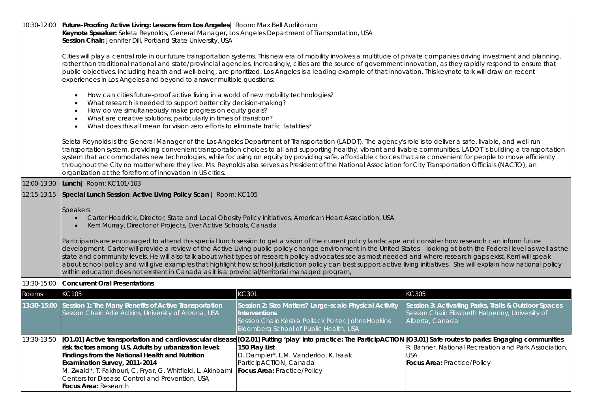| 10:30-12:00 | Future-Proofing Active Living: Lessons from Los Angeles   Room: Max Bell Auditorium<br>Keynote Speaker: Seleta Reynolds, General Manager, Los Angeles Department of Transportation, USA<br>Session Chair: Jennifer Dill, Portland State University, USA<br>Cities will play a central role in our future transportation systems. This new era of mobility involves a multitude of private companies driving investment and planning,<br>rather than traditional national and state/provincial agencies. Increasingly, cities are the source of government innovation, as they rapidly respond to ensure that<br>public objectives, including health and well-being, are prioritized. Los Angeles is a leading example of that innovation. This keynote talk will draw on recent<br>experiences in Los Angeles and beyond to answer multiple questions:<br>How can cities future-proof active living in a world of new mobility technologies?<br>$\bullet$<br>What research is needed to support better city decision-making?<br>How do we simultaneously make progress on equity goals?<br>$\bullet$<br>What are creative solutions, particularly in times of transition?<br>$\bullet$<br>What does this all mean for vision zero efforts to eliminate traffic fatalities? |                                                                                                                                                                                 |                                                                                                                             |  |  |  |
|-------------|----------------------------------------------------------------------------------------------------------------------------------------------------------------------------------------------------------------------------------------------------------------------------------------------------------------------------------------------------------------------------------------------------------------------------------------------------------------------------------------------------------------------------------------------------------------------------------------------------------------------------------------------------------------------------------------------------------------------------------------------------------------------------------------------------------------------------------------------------------------------------------------------------------------------------------------------------------------------------------------------------------------------------------------------------------------------------------------------------------------------------------------------------------------------------------------------------------------------------------------------------------------------------|---------------------------------------------------------------------------------------------------------------------------------------------------------------------------------|-----------------------------------------------------------------------------------------------------------------------------|--|--|--|
|             | Seleta Reynolds is the General Manager of the Los Angeles Department of Transportation (LADOT). The agency's role is to deliver a safe, livable, and well-run<br>transportation system, providing convenient transportation choices to all and supporting healthy, vibrant and livable communities. LADOT is building a transportation<br>system that accommodates new technologies, while focusing on equity by providing safe, affordable choices that are convenient for people to move efficiently<br>throughout the City no matter where they live. Ms. Reynolds also serves as President of the National Association for City Transportation Officials (NACTO), an<br>organization at the forefront of innovation in US cities.                                                                                                                                                                                                                                                                                                                                                                                                                                                                                                                                      |                                                                                                                                                                                 |                                                                                                                             |  |  |  |
| 12:00-13:30 | Lunch   Room: KC101/103                                                                                                                                                                                                                                                                                                                                                                                                                                                                                                                                                                                                                                                                                                                                                                                                                                                                                                                                                                                                                                                                                                                                                                                                                                                    |                                                                                                                                                                                 |                                                                                                                             |  |  |  |
| 12:15-13:15 | Special Lunch Session: Active Living Policy Scan   Room: KC105                                                                                                                                                                                                                                                                                                                                                                                                                                                                                                                                                                                                                                                                                                                                                                                                                                                                                                                                                                                                                                                                                                                                                                                                             |                                                                                                                                                                                 |                                                                                                                             |  |  |  |
|             | <b>Speakers</b><br>Carter Headrick, Director, State and Local Obesity Policy Initiatives, American Heart Association, USA<br>Kerri Murray, Director of Projects, Ever Active Schools, Canada<br>Participants are encouraged to attend this special lunch session to get a vision of the current policy landscape and consider how research can inform future<br>development. Carter will provide a review of the Active Living public policy change environment in the United States - looking at both the Federal level as well as the<br>state and community levels. He will also talk about what types of research policy advocates see as most needed and where research gaps exist. Kerri will speak<br>about school policy and will give examples that highlight how school jurisdiction policy can best support active living initiatives. She will explain how national policy<br>within education does not existent in Canada as it is a provincial/territorial managed program,                                                                                                                                                                                                                                                                                  |                                                                                                                                                                                 |                                                                                                                             |  |  |  |
| 13:30-15:00 | <b>Concurrent Oral Presentations</b>                                                                                                                                                                                                                                                                                                                                                                                                                                                                                                                                                                                                                                                                                                                                                                                                                                                                                                                                                                                                                                                                                                                                                                                                                                       |                                                                                                                                                                                 |                                                                                                                             |  |  |  |
| Rooms       | KC105                                                                                                                                                                                                                                                                                                                                                                                                                                                                                                                                                                                                                                                                                                                                                                                                                                                                                                                                                                                                                                                                                                                                                                                                                                                                      | KC301                                                                                                                                                                           | KC305                                                                                                                       |  |  |  |
| 13:30-15:00 | Session 1: The Many Benefits of Active Transportation<br>Session Chair: Arlie Adkins, University of Arizona, USA                                                                                                                                                                                                                                                                                                                                                                                                                                                                                                                                                                                                                                                                                                                                                                                                                                                                                                                                                                                                                                                                                                                                                           | Session 2: Size Matters? Large-scale Physical Activity<br><b>Interventions</b><br>Session Chair: Keshia Pollack Porter, Johns Hopkins<br>Bloomberg School of Public Health, USA | Session 3: Activating Parks, Trails & Outdoor Spaces<br>Session Chair: Elizabeth Halpenny, University of<br>Alberta, Canada |  |  |  |
| 13:30-13:50 | [O1.01] Active transportation and cardiovascular disease [O2.01] Putting 'play' into practice: The ParticipACTION [O3.01] Safe routes to parks: Engaging communities<br>risk factors among U.S. Adults by urbanization level:<br>Findings from the National Health and Nutrition<br>Examination Survey, 2011-2014<br>M. Zwald*, T. Fakhouri, C. Fryar, G. Whitfield, L. Akinbami<br>Centers for Disease Control and Prevention, USA<br>Focus Area: Research                                                                                                                                                                                                                                                                                                                                                                                                                                                                                                                                                                                                                                                                                                                                                                                                                | 150 Play List<br>D. Dampier*, L.M. Vanderloo, K. Isaak<br>ParticipACTION, Canada<br>Focus Area: Practice/Policy                                                                 | R. Banner, National Recreation and Park Association,<br><b>USA</b><br>Focus Area: Practice/Policy                           |  |  |  |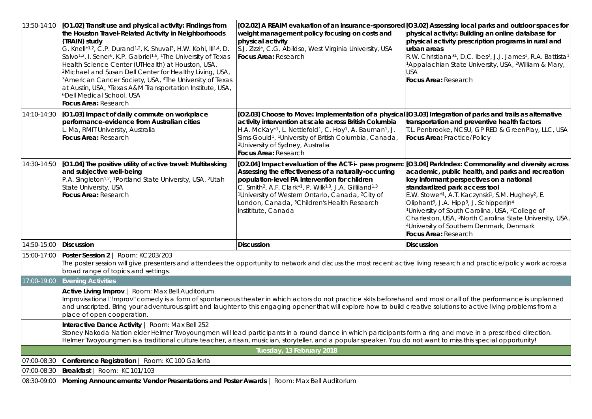| 13:50-14:10 | [O1.02] Transit use and physical activity: Findings from<br>the Houston Travel-Related Activity in Neighborhoods<br>(TRAIN) study<br>G. Knell*1,2, C.P. Durand <sup>1,2</sup> , K. Shuval <sup>3</sup> , H.W. Kohl, III <sup>1,4</sup> , D.<br>Salvo <sup>1,2</sup> , I. Sener <sup>5</sup> , K.P. Gabriel <sup>1,6</sup> , <sup>1</sup> The University of Texas<br>Health Science Center (UTHealth) at Houston, USA,<br><sup>2</sup> Michael and Susan Dell Center for Healthy Living, USA,<br><sup>3</sup> American Cancer Society, USA, <sup>4</sup> The University of Texas<br>at Austin, USA, <sup>5</sup> Texas A&M Transportation Institute, USA,<br><sup>6</sup> Dell Medical School, USA<br><b>Focus Area: Research</b> | [O2.02] A REAIM evaluation of an insurance-sponsored [O3.02] Assessing local parks and outdoor spaces for<br>weight management policy focusing on costs and<br>physical activity<br>S.J. Zizzi*, C.G. Abildso, West Virginia University, USA<br>Focus Area: Research                                                                                                                                                                      | physical activity: Building an online database for<br>physical activity prescription programs in rural and<br>urban areas<br>R.W. Christiana*1, D.C. Ibes <sup>2</sup> , J.J. James <sup>1</sup> , R.A. Battista <sup>1</sup><br><sup>1</sup> Appalachian State University, USA, <sup>2</sup> William & Mary,<br>USA<br><b>Focus Area: Research</b>                                                                                                                                                                                                                            |  |  |
|-------------|----------------------------------------------------------------------------------------------------------------------------------------------------------------------------------------------------------------------------------------------------------------------------------------------------------------------------------------------------------------------------------------------------------------------------------------------------------------------------------------------------------------------------------------------------------------------------------------------------------------------------------------------------------------------------------------------------------------------------------|-------------------------------------------------------------------------------------------------------------------------------------------------------------------------------------------------------------------------------------------------------------------------------------------------------------------------------------------------------------------------------------------------------------------------------------------|--------------------------------------------------------------------------------------------------------------------------------------------------------------------------------------------------------------------------------------------------------------------------------------------------------------------------------------------------------------------------------------------------------------------------------------------------------------------------------------------------------------------------------------------------------------------------------|--|--|
| 14:10-14:30 | [O1.03] Impact of daily commute on workplace<br>performance-evidence from Australian cities<br>Ma, RMIT University, Australia<br>Focus Area: Research                                                                                                                                                                                                                                                                                                                                                                                                                                                                                                                                                                            | [O2.03] Choose to Move: Implementation of a physical [O3.03] Integration of parks and trails as alternative<br>activity intervention at scale across British Columbia<br>H.A. McKay*1, L. Nettlefold1, C. Hoy1, A. Bauman1, J.<br>Sims-Gould <sup>1</sup> , <sup>1</sup> University of British Columbia, Canada,<br><sup>2</sup> University of Sydney, Australia<br>Focus Area: Research                                                  | transportation and preventive health factors<br>T.L. Penbrooke, NCSU, GP RED & GreenPlay, LLC, USA<br>Focus Area: Practice/Policy                                                                                                                                                                                                                                                                                                                                                                                                                                              |  |  |
| 14:30-14:50 | [O1.04] The positive utility of active travel: Multitasking<br>and subjective well-being<br>P.A. Singleton <sup>1,2</sup> , <sup>1</sup> Portland State University, USA, <sup>2</sup> Utah<br>State University, USA<br>Focus Area: Research                                                                                                                                                                                                                                                                                                                                                                                                                                                                                      | [O2.04] Impact evaluation of the ACT-i- pass program:<br>Assessing the effectiveness of a naturally-occurring<br>population-level PA intervention for children<br>C. Smith <sup>2</sup> , A.F. Clark <sup>*1</sup> , P. Wilk <sup>1,3</sup> , J.A. Gilliland <sup>1,3</sup><br><sup>1</sup> University of Western Ontario, Canada, <sup>2</sup> City of<br>London, Canada, <sup>3</sup> Children's Health Research<br>Instititute, Canada | [O3.04] ParkIndex: Commonality and diversity across<br>academic, public health, and parks and recreation<br>key informant perspectives on a national<br>standardized park access tool<br>E.W. Stowe*1, A.T. Kaczynski1, S.M. Hughey <sup>2</sup> , E.<br>Oliphant <sup>3</sup> , J.A. Hipp <sup>3</sup> , J. Schipperijn <sup>4</sup><br><sup>1</sup> University of South Carolina, USA, <sup>2</sup> College of<br>Charleston, USA, <sup>3</sup> North Carolina State University, USA,<br><sup>4</sup> University of Southern Denmark, Denmark<br><b>Focus Area: Research</b> |  |  |
| 14:50-15:00 | <b>Discussion</b>                                                                                                                                                                                                                                                                                                                                                                                                                                                                                                                                                                                                                                                                                                                | <b>Discussion</b>                                                                                                                                                                                                                                                                                                                                                                                                                         | <b>Discussion</b>                                                                                                                                                                                                                                                                                                                                                                                                                                                                                                                                                              |  |  |
| 15:00-17:00 | Poster Session 2   Room: KC203/203<br>The poster session will give presenters and attendees the opportunity to network and discuss the most recent active living research and practice/policy work across a<br>broad range of topics and settings.                                                                                                                                                                                                                                                                                                                                                                                                                                                                               |                                                                                                                                                                                                                                                                                                                                                                                                                                           |                                                                                                                                                                                                                                                                                                                                                                                                                                                                                                                                                                                |  |  |
| 17:00-19:00 | <b>Evening Activities</b>                                                                                                                                                                                                                                                                                                                                                                                                                                                                                                                                                                                                                                                                                                        |                                                                                                                                                                                                                                                                                                                                                                                                                                           |                                                                                                                                                                                                                                                                                                                                                                                                                                                                                                                                                                                |  |  |
|             | Active Living Improv   Room: Max Bell Auditorium<br>Improvisational "improv" comedy is a form of spontaneous theater in which actors do not practice skits beforehand and most or all of the performance is unplanned<br>and unscripted. Bring your adventurous spirit and laughter to this engaging opener that will explore how to build creative solutions to active living problems from a<br>place of open cooperation.                                                                                                                                                                                                                                                                                                     |                                                                                                                                                                                                                                                                                                                                                                                                                                           |                                                                                                                                                                                                                                                                                                                                                                                                                                                                                                                                                                                |  |  |
|             | Interactive Dance Activity   Room: Max Bell 252<br>Stoney Nakoda Nation elder Helmer Twoyoungmen will lead participants in a round dance in which participants form a ring and move in a prescribed direction.<br>Helmer Twoyoungmen is a traditional culture teacher, artisan, musician, storyteller, and a popular speaker. You do not want to miss this special opportunity!                                                                                                                                                                                                                                                                                                                                                  |                                                                                                                                                                                                                                                                                                                                                                                                                                           |                                                                                                                                                                                                                                                                                                                                                                                                                                                                                                                                                                                |  |  |
|             |                                                                                                                                                                                                                                                                                                                                                                                                                                                                                                                                                                                                                                                                                                                                  | Tuesday, 13 February 2018                                                                                                                                                                                                                                                                                                                                                                                                                 |                                                                                                                                                                                                                                                                                                                                                                                                                                                                                                                                                                                |  |  |
| 07:00-08:30 | Conference Registration   Room: KC100 Galleria                                                                                                                                                                                                                                                                                                                                                                                                                                                                                                                                                                                                                                                                                   |                                                                                                                                                                                                                                                                                                                                                                                                                                           |                                                                                                                                                                                                                                                                                                                                                                                                                                                                                                                                                                                |  |  |
| 07:00-08:30 | Breakfast   Room: KC101/103                                                                                                                                                                                                                                                                                                                                                                                                                                                                                                                                                                                                                                                                                                      |                                                                                                                                                                                                                                                                                                                                                                                                                                           |                                                                                                                                                                                                                                                                                                                                                                                                                                                                                                                                                                                |  |  |
| 08:30-09:00 | Morning Announcements: Vendor Presentations and Poster Awards   Room: Max Bell Auditorium                                                                                                                                                                                                                                                                                                                                                                                                                                                                                                                                                                                                                                        |                                                                                                                                                                                                                                                                                                                                                                                                                                           |                                                                                                                                                                                                                                                                                                                                                                                                                                                                                                                                                                                |  |  |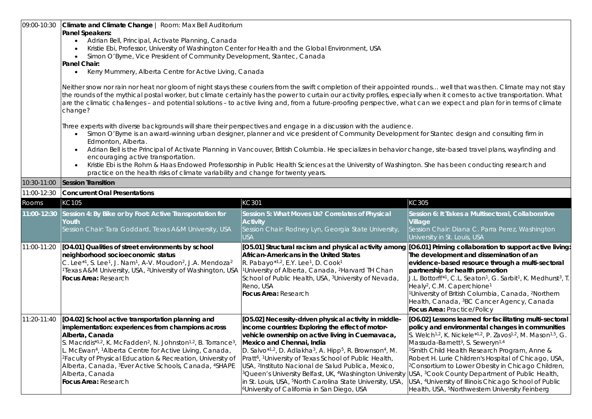| 09:00-10:30 | Climate and Climate Change   Room: Max Bell Auditorium                                                                                                                                                                                                                                                                                                                                                                                                                                                                             |                                                                                                                                                                                                                                                                                                                                                                                                                                                                                                                                                                                                                                                           |                                                                                                                                                                                                                                                                                                                                                                                                                                                                                                                                                                                                                                                                               |  |  |
|-------------|------------------------------------------------------------------------------------------------------------------------------------------------------------------------------------------------------------------------------------------------------------------------------------------------------------------------------------------------------------------------------------------------------------------------------------------------------------------------------------------------------------------------------------|-----------------------------------------------------------------------------------------------------------------------------------------------------------------------------------------------------------------------------------------------------------------------------------------------------------------------------------------------------------------------------------------------------------------------------------------------------------------------------------------------------------------------------------------------------------------------------------------------------------------------------------------------------------|-------------------------------------------------------------------------------------------------------------------------------------------------------------------------------------------------------------------------------------------------------------------------------------------------------------------------------------------------------------------------------------------------------------------------------------------------------------------------------------------------------------------------------------------------------------------------------------------------------------------------------------------------------------------------------|--|--|
|             | Panel Speakers:                                                                                                                                                                                                                                                                                                                                                                                                                                                                                                                    |                                                                                                                                                                                                                                                                                                                                                                                                                                                                                                                                                                                                                                                           |                                                                                                                                                                                                                                                                                                                                                                                                                                                                                                                                                                                                                                                                               |  |  |
|             | Adrian Bell, Principal, Activate Planning, Canada                                                                                                                                                                                                                                                                                                                                                                                                                                                                                  |                                                                                                                                                                                                                                                                                                                                                                                                                                                                                                                                                                                                                                                           |                                                                                                                                                                                                                                                                                                                                                                                                                                                                                                                                                                                                                                                                               |  |  |
|             | Kristie Ebi, Professor, University of Washington Center for Health and the Global Environment, USA                                                                                                                                                                                                                                                                                                                                                                                                                                 |                                                                                                                                                                                                                                                                                                                                                                                                                                                                                                                                                                                                                                                           |                                                                                                                                                                                                                                                                                                                                                                                                                                                                                                                                                                                                                                                                               |  |  |
|             | Simon O'Byrne, Vice President of Community Development, Stantec, Canada                                                                                                                                                                                                                                                                                                                                                                                                                                                            |                                                                                                                                                                                                                                                                                                                                                                                                                                                                                                                                                                                                                                                           |                                                                                                                                                                                                                                                                                                                                                                                                                                                                                                                                                                                                                                                                               |  |  |
|             | Panel Chair:                                                                                                                                                                                                                                                                                                                                                                                                                                                                                                                       |                                                                                                                                                                                                                                                                                                                                                                                                                                                                                                                                                                                                                                                           |                                                                                                                                                                                                                                                                                                                                                                                                                                                                                                                                                                                                                                                                               |  |  |
|             | Kerry Mummery, Alberta Centre for Active Living, Canada<br>$\bullet$                                                                                                                                                                                                                                                                                                                                                                                                                                                               |                                                                                                                                                                                                                                                                                                                                                                                                                                                                                                                                                                                                                                                           |                                                                                                                                                                                                                                                                                                                                                                                                                                                                                                                                                                                                                                                                               |  |  |
|             | Neither snow nor rain nor heat nor gloom of night stays these couriers from the swift completion of their appointed rounds well that was then. Climate may not stay<br>the rounds of the mythical postal worker, but climate certainly has the power to curtain our activity profiles, especially when it comes to active transportation. What<br>are the climatic challenges - and potential solutions - to active living and, from a future-proofing perspective, what can we expect and plan for in terms of climate<br>change? |                                                                                                                                                                                                                                                                                                                                                                                                                                                                                                                                                                                                                                                           |                                                                                                                                                                                                                                                                                                                                                                                                                                                                                                                                                                                                                                                                               |  |  |
|             | Three experts with diverse backgrounds will share their perspectives and engage in a discussion with the audience.<br>Edmonton, Alberta.                                                                                                                                                                                                                                                                                                                                                                                           | Simon O'Byrne is an award-winning urban designer, planner and vice president of Community Development for Stantec design and consulting firm in                                                                                                                                                                                                                                                                                                                                                                                                                                                                                                           |                                                                                                                                                                                                                                                                                                                                                                                                                                                                                                                                                                                                                                                                               |  |  |
|             | $\bullet$<br>encouraging active transportation.                                                                                                                                                                                                                                                                                                                                                                                                                                                                                    | Adrian Bell is the Principal of Activate Planning in Vancouver, British Columbia. He specializes in behavior change, site-based travel plans, wayfinding and<br>Kristie Ebi is the Rohm & Haas Endowed Professorship in Public Health Sciences at the University of Washington. She has been conducting research and                                                                                                                                                                                                                                                                                                                                      |                                                                                                                                                                                                                                                                                                                                                                                                                                                                                                                                                                                                                                                                               |  |  |
|             | practice on the health risks of climate variability and change for twenty years.                                                                                                                                                                                                                                                                                                                                                                                                                                                   |                                                                                                                                                                                                                                                                                                                                                                                                                                                                                                                                                                                                                                                           |                                                                                                                                                                                                                                                                                                                                                                                                                                                                                                                                                                                                                                                                               |  |  |
| 10:30-11:00 | <b>Session Transition</b>                                                                                                                                                                                                                                                                                                                                                                                                                                                                                                          |                                                                                                                                                                                                                                                                                                                                                                                                                                                                                                                                                                                                                                                           |                                                                                                                                                                                                                                                                                                                                                                                                                                                                                                                                                                                                                                                                               |  |  |
| 11:00-12:30 | <b>Concurrent Oral Presentations</b>                                                                                                                                                                                                                                                                                                                                                                                                                                                                                               |                                                                                                                                                                                                                                                                                                                                                                                                                                                                                                                                                                                                                                                           |                                                                                                                                                                                                                                                                                                                                                                                                                                                                                                                                                                                                                                                                               |  |  |
| Rooms       | KC105                                                                                                                                                                                                                                                                                                                                                                                                                                                                                                                              | KC301                                                                                                                                                                                                                                                                                                                                                                                                                                                                                                                                                                                                                                                     | KC305                                                                                                                                                                                                                                                                                                                                                                                                                                                                                                                                                                                                                                                                         |  |  |
| 11:00-12:30 | Session 4: By Bike or by Foot: Active Transportation for<br>Youth.<br>Session Chair: Tara Goddard, Texas A&M University, USA                                                                                                                                                                                                                                                                                                                                                                                                       | Session 5: What Moves Us? Correlates of Physical<br><b>Activity</b><br>Session Chair: Rodney Lyn, Georgia State University,<br><b>USA</b>                                                                                                                                                                                                                                                                                                                                                                                                                                                                                                                 | Session 6: It Takes a Multisectoral, Collaborative<br>Village<br>Session Chair: Diana C. Parra Perez, Washington<br>University in St. Louis, USA                                                                                                                                                                                                                                                                                                                                                                                                                                                                                                                              |  |  |
| 11:00-11:20 | [O4.01] Qualities of street environments by school<br>neighborhood socioeconomic status<br>C. Lee*1, S. Lee1, J. Nam <sup>1</sup> , A-V. Moudon <sup>2</sup> , J.A. Mendoza <sup>2</sup><br><sup>1</sup> Texas A&M University, USA, <sup>2</sup> University of Washington, USA   <sup>1</sup> University of Alberta, Canada, <sup>2</sup> Harvard TH Chan<br>Focus Area: Research                                                                                                                                                  | [05.01] Structural racism and physical activity among [06.01] Priming collaboration to support active living:<br>African-Americans in the United States<br>R. Pabayo*1,2, E.Y. Lee1, D. Cook1<br>School of Public Health, USA, <sup>3</sup> University of Nevada,<br>Reno, USA<br>Focus Area: Research                                                                                                                                                                                                                                                                                                                                                    | The development and dissemination of an<br>evidence-based resource through a multi-sectoral<br>partnership for health promotion<br>J.L. Bottorff*1, C.L. Seaton <sup>1</sup> , G. Sarbit <sup>1</sup> , K. Medhurst <sup>3</sup> , T.<br>Healy <sup>2</sup> , C.M. Caperchione <sup>1</sup><br><sup>1</sup> University of British Columbia, Canada, <sup>2</sup> Northern<br>Health, Canada, <sup>3</sup> BC Cancer Agency, Canada<br>Focus Area: Practice/Policy                                                                                                                                                                                                             |  |  |
| 11:20-11:40 | [O4.02] School active transportation planning and<br>implementation: experiences from champions across<br>Alberta, Canada<br>S. Macridis*1,2, K. McFadden <sup>2</sup> , N. Johnston <sup>1,2</sup> , B. Torrance <sup>3</sup> ,<br>L. McEwan <sup>4</sup> , <sup>1</sup> Alberta Centre for Active Living, Canada,<br><sup>2</sup> Faculty of Physical Education & Recreation, University of<br>Alberta, Canada, <sup>3</sup> Ever Active Schools, Canada, <sup>4</sup> SHAPE<br>Alberta, Canada<br>Focus Area: Research          | [O5.02] Necessity-driven physical activity in middle-<br>income countries: Exploring the effect of motor-<br>vehicle ownership on active living in Cuernavaca,<br>Mexico and Chennai, India<br>D. Salvo*1,2, D. Adlakha3, A. Hipp <sup>5</sup> , R. Brownson <sup>4</sup> , M.<br>Pratt <sup>6</sup> , <sup>1</sup> University of Texas School of Public Health,<br>USA, <sup>2</sup> Instituto Nacional de Salud Publica, Mexico,<br><sup>3</sup> Queen's University Belfast, UK, <sup>4</sup> Washington University<br>in St. Louis, USA, <sup>5</sup> North Carolina State University, USA,<br><sup>6</sup> University of California in San Diego, USA | [O6.02] Lessons learned for facilitating multi-sectoral<br>policy and environmental changes in communities<br>S. Welch <sup>1,2</sup> , K. Nickele <sup>*1,2</sup> , P. Zavos <sup>1,2</sup> , M. Mason <sup>1,5</sup> , G.<br>Massuda-Barnett <sup>3</sup> , S. Seweryn <sup>1,4</sup><br><sup>1</sup> Smith Child Health Research Program, Anne &<br>Robert H. Lurie Children's Hospital of Chicago, USA,<br><sup>2</sup> Consortium to Lower Obesity in Chicago Children,<br>USA, <sup>3</sup> Cook County Department of Public Health,<br>USA, <sup>4</sup> University of Illinois Chicago School of Public<br>Health, USA, <sup>5</sup> Northwestern University Feinberg |  |  |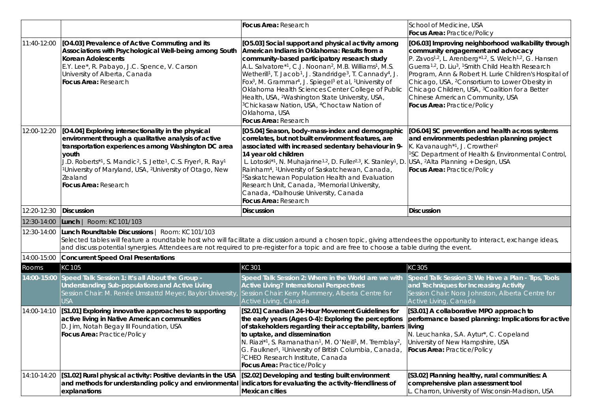|             |                                                                                                                                                                                                                                                                                                                                                                                                                     | Focus Area: Research                                                                                                                                                                                                                                                                                                                                                                                                                                                                                                                                                                                                                                                                            | School of Medicine, USA<br>Focus Area: Practice/Policy                                                                                                                                                                                                                                                                                                                                                                                                                                                                                 |
|-------------|---------------------------------------------------------------------------------------------------------------------------------------------------------------------------------------------------------------------------------------------------------------------------------------------------------------------------------------------------------------------------------------------------------------------|-------------------------------------------------------------------------------------------------------------------------------------------------------------------------------------------------------------------------------------------------------------------------------------------------------------------------------------------------------------------------------------------------------------------------------------------------------------------------------------------------------------------------------------------------------------------------------------------------------------------------------------------------------------------------------------------------|----------------------------------------------------------------------------------------------------------------------------------------------------------------------------------------------------------------------------------------------------------------------------------------------------------------------------------------------------------------------------------------------------------------------------------------------------------------------------------------------------------------------------------------|
| 11:40-12:00 | [04.03] Prevalence of Active Commuting and its<br>Associations with Psychological Well-being among South<br>Korean Adolescents<br>E.Y. Lee*, R. Pabayo, J.C. Spence, V. Carson<br>University of Alberta, Canada<br>Focus Area: Research                                                                                                                                                                             | [O5.03] Social support and physical activity among<br>American Indians in Oklahoma: Results from a<br>community-based participatory research study<br>A.L. Salvatore*1, C.J. Noonan <sup>2</sup> , M.B. Williams <sup>1</sup> , M.S.<br>Wetherill <sup>1</sup> , T. Jacob <sup>1</sup> , J. Standridge <sup>3</sup> , T. Cannady <sup>4</sup> , J.<br>Fox <sup>3</sup> , M. Grammar <sup>4</sup> , J. Spiegel <sup>3</sup> et al, <sup>1</sup> University of<br>Oklahoma Health Sciences Center College of Public<br>Health, USA, <sup>2</sup> Washington State University, USA,<br><sup>3</sup> Chickasaw Nation, USA, <sup>4</sup> Choctaw Nation of<br>Oklahoma, USA<br>Focus Area: Research | [O6.03] Improving neighborhood walkability through<br>community engagement and advocacy<br>P. Zavos <sup>1,2</sup> , L. Arenberg <sup>*1,2</sup> , S. Welch <sup>1,2</sup> , G. Hansen<br>Guerra <sup>1,2</sup> , D. Liu <sup>3</sup> , <sup>1</sup> Smith Child Health Research<br>Program, Ann & Robert H. Lurie Children's Hospital of<br>Chicago, USA, <sup>2</sup> Consortium to Lower Obesity in<br>Chicago Children, USA, <sup>3</sup> Coalition for a Better<br>Chinese American Community, USA<br>Focus Area: Practice/Policy |
| 12:00-12:20 | [O4.04] Exploring intersectionality in the physical<br>environment through a qualitative analysis of active<br>transportation experiences among Washington DC area<br>youth<br>J.D. Roberts*1, S. Mandic <sup>2</sup> , S. Jette <sup>1</sup> , C.S. Fryer <sup>1</sup> , R. Ray <sup>1</sup><br><sup>1</sup> University of Maryland, USA, <sup>2</sup> University of Otago, New<br>Zealand<br>Focus Area: Research | [O5.04] Season, body-mass-index and demographic<br>correlates, but not built environment features, are<br>associated with increased sedentary behaviour in 9-<br>14 year old children<br>L. Lotoski <sup>*1</sup> , N. Muhajarine <sup>1,2</sup> , D. Fuller <sup>2,3</sup> , K. Stanley <sup>1</sup> , D. USA, <sup>2</sup> Alta Planning + Design, USA<br>Rainham <sup>4</sup> , <sup>1</sup> University of Saskatchewan, Canada,<br><sup>2</sup> Saskatchewan Population Health and Evaluation<br>Research Unit, Canada, 3Memorial University,<br>Canada, <sup>4</sup> Dalhousie University, Canada<br>Focus Area: Research                                                                  | [O6.04] SC prevention and health across systems<br>and environments pedestrian planning project<br>K. Kavanaugh <sup>*1</sup> , J. Crowther <sup>2</sup><br><sup>1</sup> SC Department of Health & Environmental Control,<br>Focus Area: Practice/Policy                                                                                                                                                                                                                                                                               |
| 12:20-12:30 | Discussion                                                                                                                                                                                                                                                                                                                                                                                                          | <b>Discussion</b>                                                                                                                                                                                                                                                                                                                                                                                                                                                                                                                                                                                                                                                                               | <b>Discussion</b>                                                                                                                                                                                                                                                                                                                                                                                                                                                                                                                      |
|             |                                                                                                                                                                                                                                                                                                                                                                                                                     |                                                                                                                                                                                                                                                                                                                                                                                                                                                                                                                                                                                                                                                                                                 |                                                                                                                                                                                                                                                                                                                                                                                                                                                                                                                                        |
| 12:30-14:00 | Lunch   Room: KC101/103                                                                                                                                                                                                                                                                                                                                                                                             |                                                                                                                                                                                                                                                                                                                                                                                                                                                                                                                                                                                                                                                                                                 |                                                                                                                                                                                                                                                                                                                                                                                                                                                                                                                                        |
| 12:30-14:00 | Lunch Roundtable Discussions   Room: KC101/103<br>Selected tables will feature a roundtable host who will facilitate a discussion around a chosen topic, giving attendees the opportunity to interact, exchange ideas,<br>and discuss potential synergies. Attendees are not required to pre-register for a topic and are free to choose a table during the event.                                                  |                                                                                                                                                                                                                                                                                                                                                                                                                                                                                                                                                                                                                                                                                                 |                                                                                                                                                                                                                                                                                                                                                                                                                                                                                                                                        |
| 14:00-15:00 | Concurrent Speed Oral Presentations                                                                                                                                                                                                                                                                                                                                                                                 |                                                                                                                                                                                                                                                                                                                                                                                                                                                                                                                                                                                                                                                                                                 |                                                                                                                                                                                                                                                                                                                                                                                                                                                                                                                                        |
| Rooms       | KC105                                                                                                                                                                                                                                                                                                                                                                                                               | KC301                                                                                                                                                                                                                                                                                                                                                                                                                                                                                                                                                                                                                                                                                           | KC305                                                                                                                                                                                                                                                                                                                                                                                                                                                                                                                                  |
| 14:00-15:00 | Speed Talk Session 1: It's all About the Group -<br>Understanding Sub-populations and Active Living<br>Session Chair: M. Renée Umstattd Meyer, Baylor University,<br>USA                                                                                                                                                                                                                                            | Speed Talk Session 2: Where in the World are we with<br><b>Active Living? International Perspectives</b><br>Session Chair: Kerry Mummery, Alberta Centre for<br>Active Living, Canada                                                                                                                                                                                                                                                                                                                                                                                                                                                                                                           | Speed Talk Session 3: We Have a Plan - Tips, Tools<br>and Techniques for Increasing Activity<br>Session Chair: Nora Johnston, Alberta Centre for<br>Active Living, Canada                                                                                                                                                                                                                                                                                                                                                              |
| 14:00-14:10 | [S1.01] Exploring innovative approaches to supporting<br>active living in Native American communities<br>D. Jim, Notah Begay III Foundation, USA<br>Focus Area: Practice/Policy                                                                                                                                                                                                                                     | [S2.01] Canadian 24-Hour Movement Guidelines for<br>the early years (Ages 0-4): Exploring the perceptions<br>of stakeholders regarding their acceptability, barriers living<br>to uptake, and dissemination<br>N. Riazi*1, S. Ramanathan <sup>1</sup> , M. O'Neill <sup>1</sup> , M. Tremblay <sup>2</sup> ,<br>G. Faulkner <sup>1</sup> , <sup>1</sup> University of British Columbia, Canada,<br><sup>2</sup> CHEO Research Institute, Canada<br>Focus Area: Practice/Policy                                                                                                                                                                                                                  | [S3.01] A collaborative MPO approach to<br>performance based planning: Implications for active<br>N. Leuchanka, S.A. Aytur*, C. Copeland<br>University of New Hampshire, USA<br>Focus Area: Practice/Policy                                                                                                                                                                                                                                                                                                                            |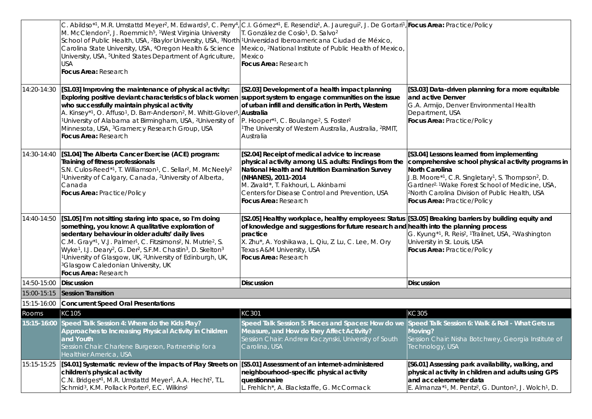|                      | C. Abildso <sup>*1</sup> , M.R. Umstattd Meyer <sup>2</sup> , M. Edwards <sup>3</sup> , C. Perry <sup>4</sup> , C.I. Gómez <sup>*1</sup> , E. Resendiz <sup>1</sup> , A. Jauregui <sup>2</sup> , J. De Gortari <sup>1</sup> , Focus Area: Practice/Policy<br>M. McClendon <sup>2</sup> , J. Roemmich <sup>5</sup> , <sup>1</sup> West Virginia University<br>School of Public Health, USA, <sup>2</sup> Baylor University, USA, <sup>3</sup> North <sup>1</sup> Universidad Iberoamericana Ciudad de México,<br>Carolina State University, USA, <sup>4</sup> Oregon Health & Science<br>University, USA, <sup>5</sup> United States Department of Agriculture,<br><b>USA</b><br>Focus Area: Research | T. González de Cosío <sup>1</sup> , D. Salvo <sup>2</sup><br>Mexico, <sup>2</sup> National Institute of Public Health of Mexico,<br><b>Mexico</b><br><b>Focus Area: Research</b>                                                                                                                     |                                                                                                                                                                                                                                                                                                                                                              |
|----------------------|------------------------------------------------------------------------------------------------------------------------------------------------------------------------------------------------------------------------------------------------------------------------------------------------------------------------------------------------------------------------------------------------------------------------------------------------------------------------------------------------------------------------------------------------------------------------------------------------------------------------------------------------------------------------------------------------------|------------------------------------------------------------------------------------------------------------------------------------------------------------------------------------------------------------------------------------------------------------------------------------------------------|--------------------------------------------------------------------------------------------------------------------------------------------------------------------------------------------------------------------------------------------------------------------------------------------------------------------------------------------------------------|
| 14:20-14:30          | [S1.03] Improving the maintenance of physical activity:<br>Exploring positive deviant characteristics of black women support system to engage communities on the issue<br>who successfully maintain physical activity<br>A. Kinsey*1, O. Affuso <sup>1</sup> , D. Barr-Anderson <sup>2</sup> , M. Whitt-Glover <sup>3</sup> , Australia<br><sup>1</sup> University of Alabama at Birmingham, USA, <sup>2</sup> University of<br>Minnesota, USA, <sup>3</sup> Gramercy Research Group, USA<br>Focus Area: Research                                                                                                                                                                                    | [S2.03] Development of a health impact planning<br>of urban infill and densification in Perth, Western<br>P. Hooper*1, C. Boulange <sup>2</sup> , S. Foster <sup>2</sup><br><sup>1</sup> The University of Western Australia, Australia, <sup>2</sup> RMIT,<br>Australia                             | [S3.03] Data-driven planning for a more equitable<br>and active Denver<br>G.A. Armijo, Denver Environmental Health<br>Department, USA<br>Focus Area: Practice/Policy                                                                                                                                                                                         |
| 14:30-14:40          | [S1.04] The Alberta Cancer Exercise (ACE) program:<br>Training of fitness professionals<br>S.N. Culos-Reed*1, T. Williamson <sup>1</sup> , C. Sellar <sup>2</sup> , M. McNeely <sup>2</sup><br><sup>1</sup> University of Calgary, Canada, <sup>2</sup> University of Alberta,<br>Canada<br>Focus Area: Practice/Policy                                                                                                                                                                                                                                                                                                                                                                              | [S2.04] Receipt of medical advice to increase<br>physical activity among U.S. adults: Findings from the<br>National Health and Nutrition Examination Survey<br>(NHANES), 2011-2014<br>M. Zwald*, T. Fakhouri, L. Akinbami<br>Centers for Disease Control and Prevention, USA<br>Focus Area: Research | [S3.04] Lessons learned from implementing<br>comprehensive school physical activity programs in<br>North Carolina<br>J.B. Moore*1, C.R. Singletary <sup>1</sup> , S. Thompson <sup>2</sup> , D.<br>Gardner <sup>2, 1</sup> Wake Forest School of Medicine, USA,<br><sup>2</sup> North Carolina Division of Public Health, USA<br>Focus Area: Practice/Policy |
| 14:40-14:50          | [S1.05] I'm not sitting staring into space, so I'm doing<br>something, you know: A qualitative exploration of<br>sedentary behaviour in older adults' daily lives<br>C.M. Gray*1, V.J. Palmer1, C. Fitzsimons <sup>2</sup> , N. Mutrie <sup>2</sup> , S.<br>Wyke <sup>1</sup> , I.J. Deary <sup>2</sup> , G. Der <sup>2</sup> , S.F.M. Chastin <sup>3</sup> , D. Skelton <sup>3</sup><br><sup>1</sup> University of Glasgow, UK, <sup>2</sup> University of Edinburgh, UK,<br><sup>3</sup> Glasgow Caledonian University, UK<br>Focus Area: Research                                                                                                                                                 | [S2.05] Healthy workplace, healthy employees: Status<br>of knowledge and suggestions for future research and health into the planning process<br>practice<br>X. Zhu*, A. Yoshikawa, L. Qiu, Z. Lu, C. Lee, M. Ory<br>Texas A&M University, USA<br>Focus Area: Research                               | [S3.05] Breaking barriers by building equity and<br>G. Kyung <sup>*1</sup> , R. Reis <sup>2</sup> , <sup>1</sup> Trailnet, USA, <sup>2</sup> Washington<br>University in St. Louis, USA<br>Focus Area: Practice/Policy                                                                                                                                       |
| 14:50-15:00          | Discussion                                                                                                                                                                                                                                                                                                                                                                                                                                                                                                                                                                                                                                                                                           | <b>Discussion</b>                                                                                                                                                                                                                                                                                    | <b>Discussion</b>                                                                                                                                                                                                                                                                                                                                            |
| 15:00-15:15          | <b>Session Transition</b>                                                                                                                                                                                                                                                                                                                                                                                                                                                                                                                                                                                                                                                                            |                                                                                                                                                                                                                                                                                                      |                                                                                                                                                                                                                                                                                                                                                              |
| 15:15-16:00<br>Rooms | Concurrent Speed Oral Presentations<br>KC105                                                                                                                                                                                                                                                                                                                                                                                                                                                                                                                                                                                                                                                         | KC301                                                                                                                                                                                                                                                                                                | KC305                                                                                                                                                                                                                                                                                                                                                        |
|                      | 15:15-16:00 Speed Talk Session 4: Where do the Kids Play?<br>Approaches to Increasing Physical Activity in Children<br>and Youth<br>Session Chair: Charlene Burgeson, Partnership for a                                                                                                                                                                                                                                                                                                                                                                                                                                                                                                              | Speed Talk Session 5: Places and Spaces: How do we Speed Talk Session 6: Walk & Roll - What Gets us<br>Measure, and How do they Affect Activity?<br>Session Chair: Andrew Kaczynski, University of South<br>Carolina, USA                                                                            | Moving?<br>Session Chair: Nisha Botchwey, Georgia Institute of<br>Technology, USA                                                                                                                                                                                                                                                                            |
| 15:15-15:25          | Healthier America, USA<br>[S4.01] Systematic review of the impacts of Play Streets on<br>children's physical activity<br>C.N. Bridges*1, M.R. Umstattd Meyer1, A.A. Hecht2, T.L.<br>Schmid <sup>3</sup> , K.M. Pollack Porter <sup>2</sup> , E.C. Wilkins <sup>1</sup>                                                                                                                                                                                                                                                                                                                                                                                                                               | [S5.01] Assessment of an internet-administered<br>neighbourhood-specific physical activity<br>questionnaire<br>L. Frehlich*, A. Blackstaffe, G. McCormack                                                                                                                                            | [S6.01] Assessing park availability, walking, and<br>physical activity in children and adults using GPS<br>and accelerometer data<br>E. Almanza <sup>*1</sup> , M. Pentz <sup>2</sup> , G. Dunton <sup>2</sup> , J. Wolch <sup>1</sup> , D.                                                                                                                  |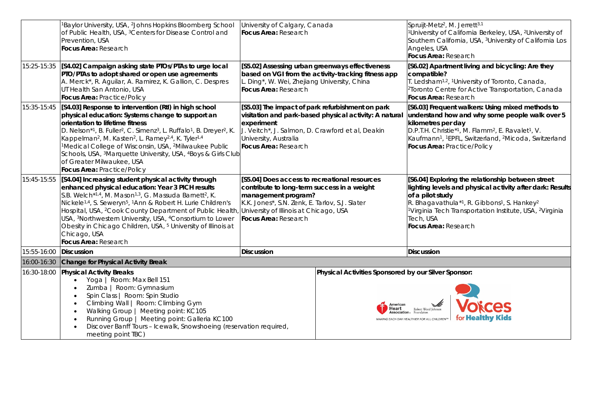| Baylor University, USA, <sup>2</sup> Johns Hopkins Bloomberg School<br>of Public Health, USA, <sup>3</sup> Centers for Disease Control and<br>Prevention, USA<br>Focus Area: Research                                                                                                                                                                                                                                                                                                                                    |                                                                                             |                                                                                                                                                                                                                                                  | Spruijt-Metz <sup>2</sup> , M. Jerrett <sup>3,1</sup><br><sup>1</sup> University of California Berkeley, USA, <sup>2</sup> University of<br>Southern California, USA, <sup>3</sup> University of California Los<br>Angeles, USA<br>Focus Area: Research<br>[S6.02] Apartment living and bicycling: Are they                                                                                                                                                                                                                                                                                                                                           |
|--------------------------------------------------------------------------------------------------------------------------------------------------------------------------------------------------------------------------------------------------------------------------------------------------------------------------------------------------------------------------------------------------------------------------------------------------------------------------------------------------------------------------|---------------------------------------------------------------------------------------------|--------------------------------------------------------------------------------------------------------------------------------------------------------------------------------------------------------------------------------------------------|-------------------------------------------------------------------------------------------------------------------------------------------------------------------------------------------------------------------------------------------------------------------------------------------------------------------------------------------------------------------------------------------------------------------------------------------------------------------------------------------------------------------------------------------------------------------------------------------------------------------------------------------------------|
| PTO/PTAs to adopt shared or open use agreements<br>A. Merck*, R. Aguilar, A. Ramirez, K. Gallion, C. Despres<br>UT Health San Antonio, USA<br>Focus Area: Practice/Policy                                                                                                                                                                                                                                                                                                                                                |                                                                                             |                                                                                                                                                                                                                                                  | compatible?<br>T. Ledsham <sup>1,2</sup> , <sup>1</sup> University of Toronto, Canada,<br><sup>2</sup> Toronto Centre for Active Transportation, Canada<br>Focus Area: Research                                                                                                                                                                                                                                                                                                                                                                                                                                                                       |
| [S4.03] Response to intervention (RtI) in high school<br>physical education: Systems change to support an<br>orientation to lifetime fitness<br>D. Nelson*1, B. Fuller <sup>2</sup> , C. Simenz <sup>3</sup> , L. Ruffalo <sup>1</sup> , B. Dreyer <sup>2</sup> , K.<br>Kappelman <sup>2</sup> , M. Kasten <sup>2</sup> , L. Ramey <sup>2,4</sup> , K. Tyler <sup>1,4</sup><br><sup>1</sup> Medical College of Wisconsin, USA, <sup>2</sup> Milwaukee Public<br>of Greater Milwaukee, USA<br>Focus Area: Practice/Policy | J. Veitch*, J. Salmon, D. Crawford et al, Deakin                                            |                                                                                                                                                                                                                                                  | [S6.03] Frequent walkers: Using mixed methods to<br>understand how and why some people walk over 5<br>kilometres per day<br>D.P.T.H. Christie*1, M. Flamm <sup>2</sup> , E. Ravalet <sup>1</sup> , V.<br>Kaufmann <sup>1</sup> , <sup>1</sup> EPFL, Switzerland, <sup>2</sup> Micoda, Switzerland<br>Focus Area: Practice/Policy                                                                                                                                                                                                                                                                                                                      |
| [S4.04] Increasing student physical activity through<br>enhanced physical education: Year 3 PICH results<br>S.B. Welch*1,4, M. Mason <sup>1,3</sup> , G. Massuda Barnett <sup>2</sup> , K.<br>Nickele <sup>1,4</sup> , S. Seweryn <sup>5</sup> , <sup>1</sup> Ann & Robert H. Lurie Children's<br>USA, <sup>3</sup> Northwestern University, USA, <sup>4</sup> Consortium to Lower<br>Obesity in Chicago Children, USA, <sup>5</sup> University of Illinois at<br>Chicago, USA<br>Focus Area: Research                   |                                                                                             |                                                                                                                                                                                                                                                  | [S6.04] Exploring the relationship between street<br>lighting levels and physical activity after dark: Results<br>of a pilot study<br>R. Bhagavathula* <sup>1</sup> , R. Gibbons <sup>1</sup> , S. Hankey <sup>2</sup><br><sup>1</sup> Virginia Tech Transportation Institute, USA, <sup>2</sup> Virginia<br>Tech, USA<br>Focus Area: Research                                                                                                                                                                                                                                                                                                        |
| <b>Discussion</b>                                                                                                                                                                                                                                                                                                                                                                                                                                                                                                        |                                                                                             |                                                                                                                                                                                                                                                  | <b>Discussion</b>                                                                                                                                                                                                                                                                                                                                                                                                                                                                                                                                                                                                                                     |
| 16:00-16:30<br>16:30-18:00<br><b>Physical Activity Breaks</b><br>Yoga   Room: Max Bell 151<br>Zumba   Room: Gymnasium<br>Spin Class   Room: Spin Studio<br>Climbing Wall   Room: Climbing Gym<br>Walking Group   Meeting point: KC105<br>$\bullet$<br>Running Group   Meeting point: Galleria KC100<br>Discover Banff Tours - Icewalk, Snowshoeing (reservation required,<br>meeting point TBC)                                                                                                                          |                                                                                             | American<br>Heart                                                                                                                                                                                                                                | <b>Voices</b><br>Robert Wood Johnson<br>for <b>Healthy Kids</b><br>MAKING EACH DAY HEALTHIER FOR ALL CHILDREN™                                                                                                                                                                                                                                                                                                                                                                                                                                                                                                                                        |
| 15:25-15:35                                                                                                                                                                                                                                                                                                                                                                                                                                                                                                              | [S4.02] Campaign asking state PTOs/PTAs to urge local<br>Change for Physical Activity Break | Focus Area: Research<br>Focus Area: Research<br>experiment<br>University, Australia<br>Focus Area: Research<br>Schools, USA, <sup>3</sup> Marquette University, USA, <sup>4</sup> Boys & Girls Club<br>Focus Area: Research<br><b>Discussion</b> | University of Calgary, Canada<br>[S5.02] Assessing urban greenways effectiveness<br>based on VGI from the activity-tracking fitness app<br>L. Ding*, W. Wei, Zhejiang University, China<br>[S5.03] The impact of park refurbishment on park<br>visitation and park-based physical activity: A natural<br>[S5.04] Does access to recreational resources<br>contribute to long-term success in a weight<br>management program?<br>K.K. Jones*, S.N. Zenk, E. Tarlov, S.J. Slater<br>Hospital, USA, <sup>2</sup> Cook County Department of Public Health, University of Illinois at Chicago, USA<br>Physical Activities Sponsored by our Silver Sponsor: |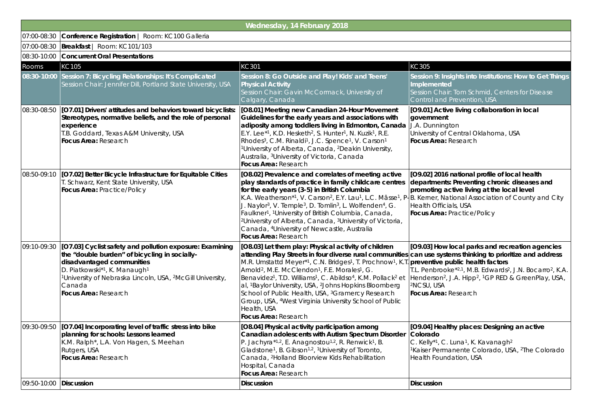|             |                                                                                                                                                                                                                                                                                               | Wednesday, 14 February 2018                                                                                                                                                                                                                                                                                                                                                                                                                                                                                                                                                                                                                                                              |                                                                                                                                                                                                                                                                                                                                                                            |  |  |  |
|-------------|-----------------------------------------------------------------------------------------------------------------------------------------------------------------------------------------------------------------------------------------------------------------------------------------------|------------------------------------------------------------------------------------------------------------------------------------------------------------------------------------------------------------------------------------------------------------------------------------------------------------------------------------------------------------------------------------------------------------------------------------------------------------------------------------------------------------------------------------------------------------------------------------------------------------------------------------------------------------------------------------------|----------------------------------------------------------------------------------------------------------------------------------------------------------------------------------------------------------------------------------------------------------------------------------------------------------------------------------------------------------------------------|--|--|--|
| 07:00-08:30 | Conference Registration   Room: KC100 Galleria                                                                                                                                                                                                                                                |                                                                                                                                                                                                                                                                                                                                                                                                                                                                                                                                                                                                                                                                                          |                                                                                                                                                                                                                                                                                                                                                                            |  |  |  |
| 07:00-08:30 | Breakfast   Room: KC101/103                                                                                                                                                                                                                                                                   |                                                                                                                                                                                                                                                                                                                                                                                                                                                                                                                                                                                                                                                                                          |                                                                                                                                                                                                                                                                                                                                                                            |  |  |  |
|             | 08:30-10:00 Concurrent Oral Presentations                                                                                                                                                                                                                                                     |                                                                                                                                                                                                                                                                                                                                                                                                                                                                                                                                                                                                                                                                                          |                                                                                                                                                                                                                                                                                                                                                                            |  |  |  |
| Rooms       | KC105                                                                                                                                                                                                                                                                                         | KC301                                                                                                                                                                                                                                                                                                                                                                                                                                                                                                                                                                                                                                                                                    | KC305                                                                                                                                                                                                                                                                                                                                                                      |  |  |  |
| 08:30-10:00 | Session 7: Bicycling Relationships: It's Complicated<br>Session Chair: Jennifer Dill, Portland State University, USA                                                                                                                                                                          | Session 8: Go Outside and Play! Kids' and Teens'<br><b>Physical Activity</b><br>Session Chair: Gavin McCormack, University of<br>Calgary, Canada                                                                                                                                                                                                                                                                                                                                                                                                                                                                                                                                         | Session 9: Insights into Institutions: How to Get Things<br>Implemented<br>Session Chair: Tom Schmid, Centers for Disease<br>Control and Prevention, USA                                                                                                                                                                                                                   |  |  |  |
| 08:30-08:50 | [O7.01] Drivers' attitudes and behaviors toward bicyclists:<br>Stereotypes, normative beliefs, and the role of personal<br>experience<br>T.B. Goddard, Texas A&M University, USA<br>Focus Area: Research                                                                                      | [O8.01] Meeting new Canadian 24-Hour Movement<br>Guidelines for the early years and associations with<br>adiposity among toddlers living in Edmonton, Canada<br>E.Y. Lee*1, K.D. Hesketh <sup>2</sup> , S. Hunter <sup>1</sup> , N. Kuzik <sup>1</sup> , R.E.<br>Rhodes <sup>3</sup> , C.M. Rinaldi <sup>1</sup> , J.C. Spence <sup>1</sup> , V. Carson <sup>1</sup><br><sup>1</sup> University of Alberta, Canada, <sup>2</sup> Deakin University,<br>Australia, <sup>3</sup> University of Victoria, Canada<br>Focus Area: Research                                                                                                                                                    | [O9.01] Active living collaboration in local<br>government<br>J.A. Dunnington<br>University of Central Oklahoma, USA<br>Focus Area: Research                                                                                                                                                                                                                               |  |  |  |
| 08:50-09:10 | [O7.02] Better Bicycle Infrastructure for Equitable Cities<br>T. Schwarz, Kent State University, USA<br>Focus Area: Practice/Policy                                                                                                                                                           | [O8.02] Prevalence and correlates of meeting active<br>play standards of practice in family childcare centres<br>for the early years (3-5) in British Columbia<br>K.A. Weatherson*1, V. Carson <sup>2</sup> , E.Y. Lau <sup>1</sup> , L.C. Mâsse <sup>1</sup> , P-B. Kerner, National Association of County and City<br>J. Naylor <sup>3</sup> , V. Temple <sup>3</sup> , D. Tomlin <sup>3</sup> , L. Wolfenden <sup>4</sup> , G.<br>Faulkner <sup>1</sup> , <sup>1</sup> University of British Columbia, Canada,<br><sup>2</sup> University of Alberta, Canada, <sup>3</sup> University of Victoria,<br>Canada, <sup>4</sup> University of Newcastle, Australia<br>Focus Area: Research | [O9.02] 2016 national profile of local health<br>departments: Preventing chronic diseases and<br>promoting active living at the local level<br><b>Health Officials, USA</b><br>Focus Area: Practice/Policy                                                                                                                                                                 |  |  |  |
| 09:10-09:30 | [O7.03] Cyclist safety and pollution exposure: Examining<br>the "double burden" of bicycling in socially-<br>disadvantaged communities<br>D. Piatkowski*1, K. Manaugh1<br><sup>1</sup> University of Nebraska Lincoln, USA, <sup>2</sup> McGill University,<br>Canada<br>Focus Area: Research | [O8.03] Let them play: Physical activity of children<br>attending Play Streets in four diverse rural communities<br>M.R. Umstattd Meyer*1, C.N. Bridges1, T. Prochnow1, K.T<br>Arnold <sup>2</sup> , M.E. McClendon <sup>1</sup> , F.E. Morales <sup>1</sup> , G.<br>Benavidez <sup>1</sup> , T.D. Williams <sup>1</sup> , C. Abildso <sup>4</sup> , K.M. Pollack <sup>2</sup> et<br>al, <sup>1</sup> Baylor University, USA, <sup>2</sup> Johns Hopkins Bloomberg<br>School of Public Health, USA, <sup>3</sup> Gramercy Research<br>Group, USA, <sup>4</sup> West Virginia University School of Public<br>Health, USA<br>Focus Area: Research                                          | [O9.03] How local parks and recreation agencies<br>can use systems thinking to prioritize and address<br>preventive public health factors<br>T.L. Penbrooke*2,1, M.B. Edwards <sup>2</sup> , J.N. Bocarro <sup>2</sup> , K.A.<br>Henderson <sup>2</sup> , J.A. Hipp <sup>2</sup> , <sup>1</sup> GP RED & GreenPlay, USA,<br><sup>2</sup> NCSU, USA<br>Focus Area: Research |  |  |  |
| 09:30-09:50 | [O7.04] Incorporating level of traffic stress into bike<br>planning for schools: Lessons learned<br>K.M. Ralph*, L.A. Von Hagen, S. Meehan<br>Rutgers, USA<br>Focus Area: Research                                                                                                            | [O8.04] Physical activity participation among<br>Canadian adolescents with Autism Spectrum Disorder<br>P. Jachyra*1,2, E. Anagnostou <sup>1,2</sup> , R. Renwick <sup>1</sup> , B.<br>Gladstone <sup>1</sup> , B. Gibson <sup>1,2</sup> , <sup>1</sup> University of Toronto,<br>Canada, <sup>2</sup> Holland Bloorview Kids Rehabilitation<br>Hospital, Canada<br>Focus Area: Research                                                                                                                                                                                                                                                                                                  | [O9.04] Healthy places: Designing an active<br> Colorado<br>C. Kelly*1, C. Luna <sup>1</sup> , K. Kavanagh <sup>2</sup><br><sup>1</sup> Kaiser Permanente Colorado, USA, <sup>2</sup> The Colorado<br>Health Foundation, USA                                                                                                                                               |  |  |  |
| 09:50-10:00 | <b>Discussion</b>                                                                                                                                                                                                                                                                             | <b>Discussion</b>                                                                                                                                                                                                                                                                                                                                                                                                                                                                                                                                                                                                                                                                        | <b>Discussion</b>                                                                                                                                                                                                                                                                                                                                                          |  |  |  |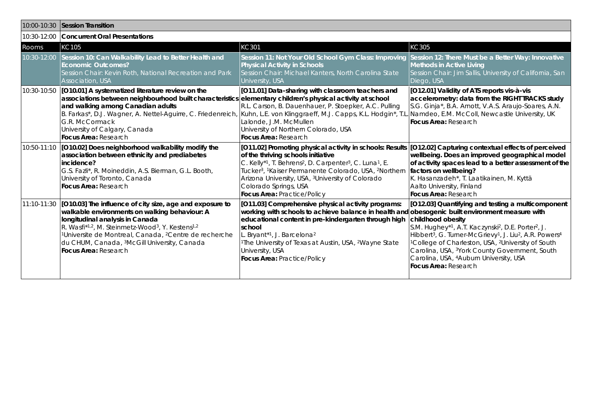| 10:00-10:30 | Session Transition                                                                                                                                                                                                                                                                                                                                                                                                          |                                                                                                                                                                                                                                                                                                                                                                                                                                                                       |                                                                                                                                                                                                                                                                                                                                                                                                                                                                                                |  |  |
|-------------|-----------------------------------------------------------------------------------------------------------------------------------------------------------------------------------------------------------------------------------------------------------------------------------------------------------------------------------------------------------------------------------------------------------------------------|-----------------------------------------------------------------------------------------------------------------------------------------------------------------------------------------------------------------------------------------------------------------------------------------------------------------------------------------------------------------------------------------------------------------------------------------------------------------------|------------------------------------------------------------------------------------------------------------------------------------------------------------------------------------------------------------------------------------------------------------------------------------------------------------------------------------------------------------------------------------------------------------------------------------------------------------------------------------------------|--|--|
|             | 10:30-12:00 Concurrent Oral Presentations                                                                                                                                                                                                                                                                                                                                                                                   |                                                                                                                                                                                                                                                                                                                                                                                                                                                                       |                                                                                                                                                                                                                                                                                                                                                                                                                                                                                                |  |  |
| Rooms       | KC105                                                                                                                                                                                                                                                                                                                                                                                                                       | KC301                                                                                                                                                                                                                                                                                                                                                                                                                                                                 | KC305                                                                                                                                                                                                                                                                                                                                                                                                                                                                                          |  |  |
| 10:30-12:00 | Session 10: Can Walkability Lead to Better Health and<br><b>Economic Outcomes?</b><br>Session Chair: Kevin Roth, National Recreation and Park<br>Association, USA                                                                                                                                                                                                                                                           | Session 11: Not Your Old School Gym Class: Improving<br><b>Physical Activity in Schools</b><br>Session Chair: Michael Kanters, North Carolina State<br>University, USA                                                                                                                                                                                                                                                                                                | Session 12: There Must be a Better Way: Innovative<br><b>Methods in Active Living</b><br>Session Chair: Jim Sallis, University of California, San<br>Diego, USA                                                                                                                                                                                                                                                                                                                                |  |  |
|             | 10:30-10:50 [O10.01] A systematized literature review on the<br>associations between neighbourhood built characteristics elementary children's physical activity at school<br>and walking among Canadian adults<br>B. Farkas*, D.J. Wagner, A. Nettel-Aguirre, C. Friedenreich, Kuhn, L.E. von Klinggraeff, M.J. Capps, K.L. Hodgin*, T.I<br>G.R. McCormack<br>University of Calgary, Canada<br><b>Focus Area: Research</b> | [011.01] Data-sharing with classroom teachers and<br>R.L. Carson, B. Dauenhauer, P. Stoepker, A.C. Pulling<br>Lalonde, J.M. McMullen<br>University of Northern Colorado, USA<br><b>Focus Area: Research</b>                                                                                                                                                                                                                                                           | [O12.01] Validity of ATS reports vis-à-vis<br>accelerometry: data from the RIGHT TRACKS study<br>S.G. Ginja*, B.A. Arnott, V.A.S. Araujo-Soares, A.N.<br>Namdeo, E.M. McColl, Newcastle University, UK<br>Focus Area: Research                                                                                                                                                                                                                                                                 |  |  |
|             | 10:50-11:10 [O10.02] Does neighborhood walkability modify the<br>association between ethnicity and prediabetes<br>incidence?<br>G.S. Fazli*, R. Moineddin, A.S. Bierman, G.L. Booth,<br>University of Toronto, Canada<br><b>Focus Area: Research</b>                                                                                                                                                                        | [011.02] Promoting physical activity in schools: Results [012.02] Capturing contextual effects of perceived<br>of the thriving schools initiative<br>C. Kelly*1, T. Behrens <sup>2</sup> , D. Carpenter <sup>3</sup> , C. Luna <sup>1</sup> , E.<br>Tucker <sup>3</sup> , <sup>1</sup> Kaiser Permanente Colorado, USA, <sup>2</sup> Northern<br>Arizona University, USA, <sup>3</sup> University of Colorado<br>Colorado Springs, USA<br>Focus Area: Practice/Policy | wellbeing. Does an improved geographical model<br>of activity spaces lead to a better assessment of the<br>factors on wellbeing?<br>K. Hasanzadeh*, T. Laatikainen, M. Kyttä<br>Aalto University, Finland<br><b>Focus Area: Research</b>                                                                                                                                                                                                                                                       |  |  |
|             | 11:10-11:30 [[O10.03] The influence of city size, age and exposure to<br>walkable environments on walking behaviour: A<br>longitudinal analysis in Canada<br>R. Wasfi*1,2, M. Steinmetz-Wood <sup>3</sup> , Y. Kestens <sup>1,2</sup><br><sup>1</sup> Universite de Montreal, Canada, <sup>2</sup> Centre de recherche<br>du CHUM, Canada, <sup>3</sup> McGill University, Canada<br>Focus Area: Research                   | [O11.03] Comprehensive physical activity programs:<br>working with schools to achieve balance in health and obesogenic built environment measure with<br>educational content in pre-kindergarten through high<br>school<br>. Bryant*1, J. Barcelona <sup>2</sup><br><sup>1</sup> The University of Texas at Austin, USA, <sup>2</sup> Wayne State<br>University, USA<br>Focus Area: Practice/Policy                                                                   | [O12.03] Quantifying and testing a multicomponent<br>childhood obesity<br>S.M. Hughey*1, A.T. Kaczynski <sup>2</sup> , D.E. Porter <sup>2</sup> , J.<br>Hibbert <sup>3</sup> , G. Turner-McGrievy <sup>1</sup> , J. Liu <sup>2</sup> , A.R. Powers <sup>4</sup><br><sup>1</sup> College of Charleston, USA, <sup>2</sup> University of South<br>Carolina, USA, <sup>3</sup> York County Government, South<br>Carolina, USA, <sup>4</sup> Auburn University, USA<br><b>Focus Area: Research</b> |  |  |